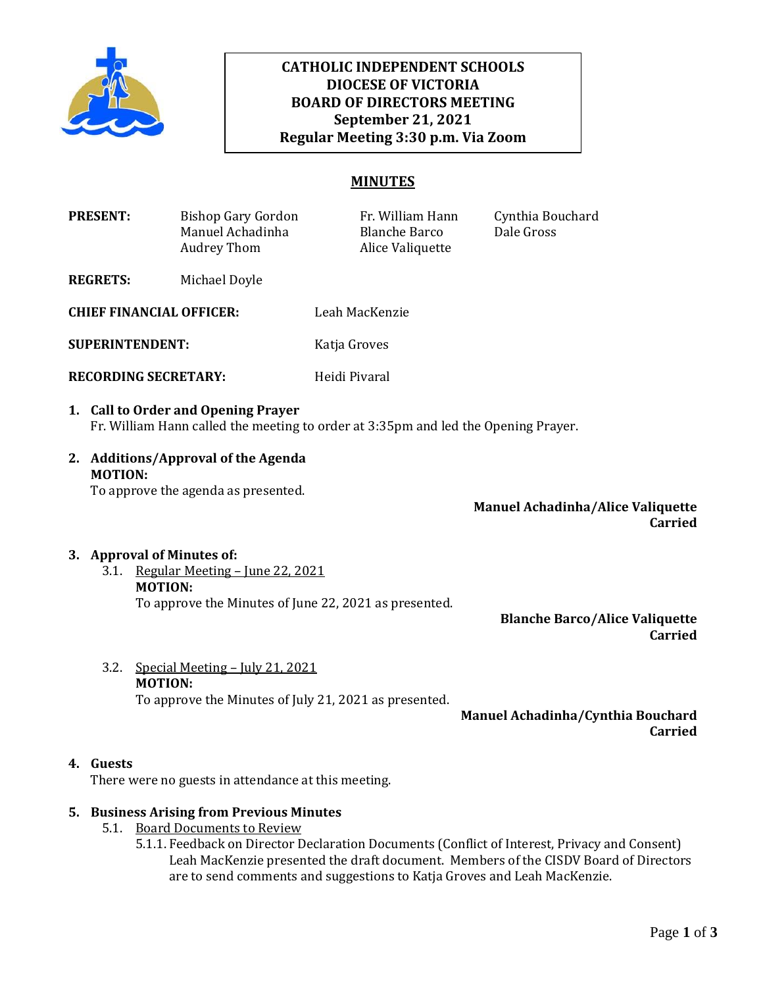

# **CATHOLIC INDEPENDENT SCHOOLS DIOCESE OF VICTORIA BOARD OF DIRECTORS MEETING September 21, 2021 Regular Meeting 3:30 p.m. Via Zoom**

# **MINUTES**

| <b>PRESENT:</b>                 | Bishop Gary Gordon<br>Manuel Achadinha<br>Audrey Thom | Fr. William Hann<br><b>Blanche Barco</b><br>Alice Valiquette | Cynthia Bouchard<br>Dale Gross |
|---------------------------------|-------------------------------------------------------|--------------------------------------------------------------|--------------------------------|
| <b>REGRETS:</b>                 | Michael Doyle                                         |                                                              |                                |
| <b>CHIEF FINANCIAL OFFICER:</b> |                                                       | Leah MacKenzie                                               |                                |

**SUPERINTENDENT:** Katja Groves

- **RECORDING SECRETARY:** Heidi Pivaral
- **1. Call to Order and Opening Prayer**  Fr. William Hann called the meeting to order at 3:35pm and led the Opening Prayer.
- **2. Additions/Approval of the Agenda MOTION:** To approve the agenda as presented.

**Manuel Achadinha/Alice Valiquette Carried**

#### **3. Approval of Minutes of:**

3.1. Regular Meeting – June 22, 2021 **MOTION:** To approve the Minutes of June 22, 2021 as presented.

**Blanche Barco/Alice Valiquette Carried**

3.2. Special Meeting – July 21, 2021 **MOTION:**

To approve the Minutes of July 21, 2021 as presented.

**Manuel Achadinha/Cynthia Bouchard Carried**

#### **4. Guests**

There were no guests in attendance at this meeting.

#### **5. Business Arising from Previous Minutes**

- 5.1. Board Documents to Review
	- 5.1.1. Feedback on Director Declaration Documents (Conflict of Interest, Privacy and Consent) Leah MacKenzie presented the draft document. Members of the CISDV Board of Directors are to send comments and suggestions to Katja Groves and Leah MacKenzie.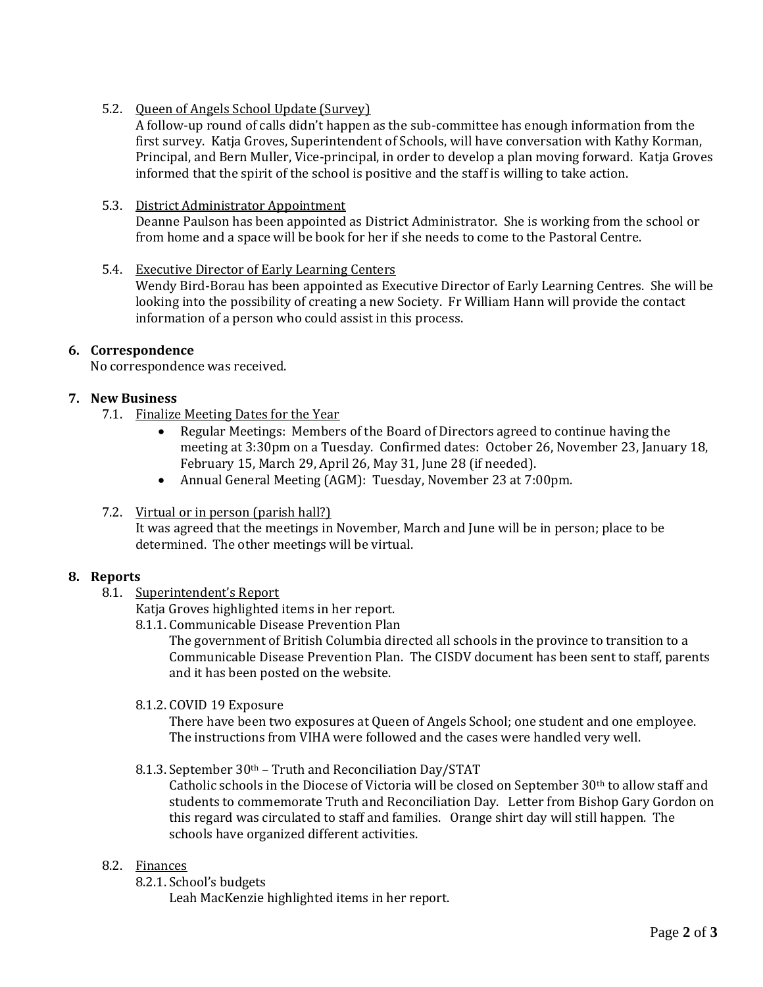5.2. Queen of Angels School Update (Survey)

A follow-up round of calls didn't happen as the sub-committee has enough information from the first survey. Katja Groves, Superintendent of Schools, will have conversation with Kathy Korman, Principal, and Bern Muller, Vice-principal, in order to develop a plan moving forward. Katja Groves informed that the spirit of the school is positive and the staff is willing to take action.

### 5.3. District Administrator Appointment

Deanne Paulson has been appointed as District Administrator. She is working from the school or from home and a space will be book for her if she needs to come to the Pastoral Centre.

#### 5.4. Executive Director of Early Learning Centers

Wendy Bird-Borau has been appointed as Executive Director of Early Learning Centres. She will be looking into the possibility of creating a new Society. Fr William Hann will provide the contact information of a person who could assist in this process.

# **6. Correspondence**

No correspondence was received.

# **7. New Business**

- 7.1. Finalize Meeting Dates for the Year
	- Regular Meetings: Members of the Board of Directors agreed to continue having the meeting at 3:30pm on a Tuesday. Confirmed dates: October 26, November 23, January 18, February 15, March 29, April 26, May 31, June 28 (if needed).
	- Annual General Meeting (AGM): Tuesday, November 23 at 7:00pm.

#### 7.2. Virtual or in person (parish hall?)

It was agreed that the meetings in November, March and June will be in person; place to be determined. The other meetings will be virtual.

#### **8. Reports**

8.1. Superintendent's Report

Katja Groves highlighted items in her report.

8.1.1. Communicable Disease Prevention Plan

The government of British Columbia directed all schools in the province to transition to a Communicable Disease Prevention Plan. The CISDV document has been sent to staff, parents and it has been posted on the website.

8.1.2. COVID 19 Exposure

There have been two exposures at Queen of Angels School; one student and one employee. The instructions from VIHA were followed and the cases were handled very well.

8.1.3. September 30th – Truth and Reconciliation Day/STAT

Catholic schools in the Diocese of Victoria will be closed on September 30th to allow staff and students to commemorate Truth and Reconciliation Day. Letter from Bishop Gary Gordon on this regard was circulated to staff and families. Orange shirt day will still happen. The schools have organized different activities.

#### 8.2. Finances

8.2.1. School's budgets

Leah MacKenzie highlighted items in her report.